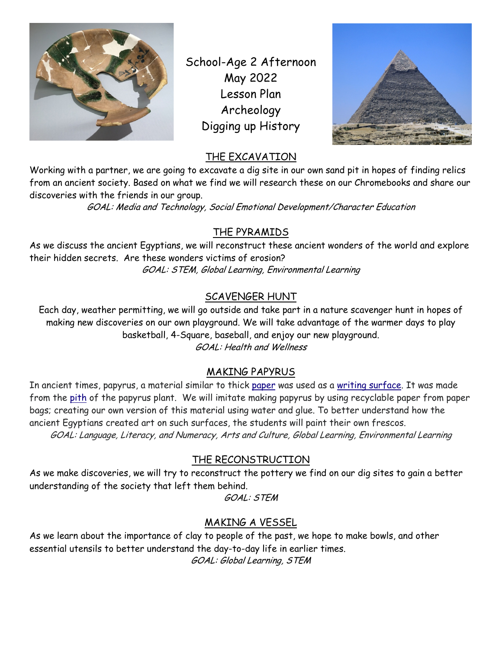

School-Age 2 Afternoon May 2022 Lesson Plan Archeology Digging up History



### THE EXCAVATION

Working with a partner, we are going to excavate a dig site in our own sand pit in hopes of finding relics from an ancient society. Based on what we find we will research these on our Chromebooks and share our discoveries with the friends in our group.

GOAL: Media and Technology, Social Emotional Development/Character Education

# THE PYRAMIDS

As we discuss the ancient Egyptians, we will reconstruct these ancient wonders of the world and explore their hidden secrets. Are these wonders victims of erosion? GOAL: STEM, Global Learning, Environmental Learning

# SCAVENGER HUNT

Each day, weather permitting, we will go outside and take part in a nature scavenger hunt in hopes of making new discoveries on our own playground. We will take advantage of the warmer days to play basketball, 4-Square, baseball, and enjoy our new playground. GOAL: Health and Wellness

# MAKING PAPYRUS

In ancient times, papyrus, a material similar to thick paper was used as a writing surface. It was made from the pith of the papyrus plant. We will imitate making papyrus by using recyclable paper from paper bags; creating our own version of this material using water and glue. To better understand how the ancient Egyptians created art on such surfaces, the students will paint their own frescos. GOAL: Language, Literacy, and Numeracy, Arts and Culture, Global Learning, Environmental Learning

### THE RECONSTRUCTION

As we make discoveries, we will try to reconstruct the pottery we find on our dig sites to gain a better understanding of the society that left them behind.

GOAL: STEM

### MAKING A VESSEL

As we learn about the importance of clay to people of the past, we hope to make bowls, and other essential utensils to better understand the day-to-day life in earlier times. GOAL: Global Learning, STEM